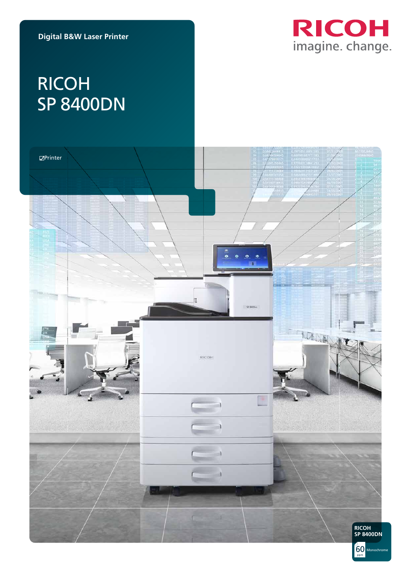

# RICOH SP 8400DN

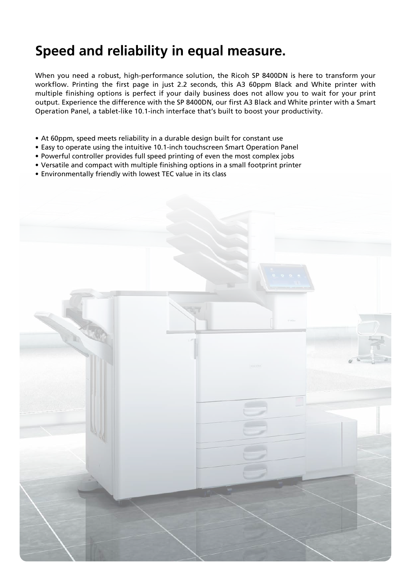## **Speed and reliability in equal measure.**

When you need a robust, high-performance solution, the Ricoh SP 8400DN is here to transform your workflow. Printing the first page in just 2.2 seconds, this A3 60ppm Black and White printer with multiple finishing options is perfect if your daily business does not allow you to wait for your print output. Experience the difference with the SP 8400DN, our first A3 Black and White printer with a Smart Operation Panel, a tablet-like 10.1-inch interface that's built to boost your productivity.

- At 60ppm, speed meets reliability in a durable design built for constant use
- Easy to operate using the intuitive 10.1-inch touchscreen Smart Operation Panel
- Powerful controller provides full speed printing of even the most complex jobs
- Versatile and compact with multiple finishing options in a small footprint printer
- Environmentally friendly with lowest TEC value in its class

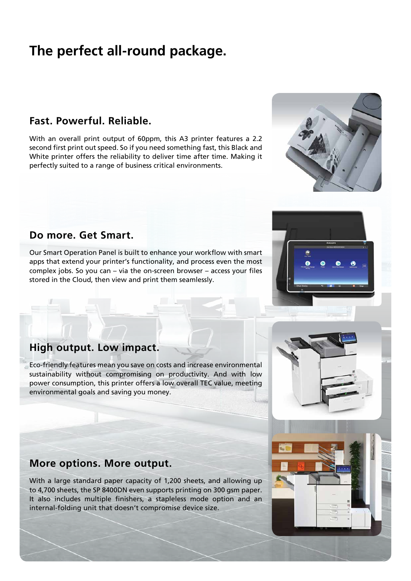## **The perfect all-round package.**

#### **Fast. Powerful. Reliable.**

With an overall print output of 60ppm, this A3 printer features a 2.2 second first print out speed. So if you need something fast, this Black and White printer offers the reliability to deliver time after time. Making it perfectly suited to a range of business critical environments.

#### **Do more. Get Smart.**

Our Smart Operation Panel is built to enhance your workflow with smart apps that extend your printer's functionality, and process even the most complex jobs. So you can – via the on-screen browser – access your files stored in the Cloud, then view and print them seamlessly.





### **High output. Low impact.**

Eco-friendly features mean you save on costs and increase environmental sustainability without compromising on productivity. And with low power consumption, this printer offers a low overall TEC value, meeting environmental goals and saving you money.

### **More options. More output.**

With a large standard paper capacity of 1,200 sheets, and allowing up to 4,700 sheets, the SP 8400DN even supports printing on 300 gsm paper. It also includes multiple finishers, a stapleless mode option and an internal-folding unit that doesn't compromise device size.